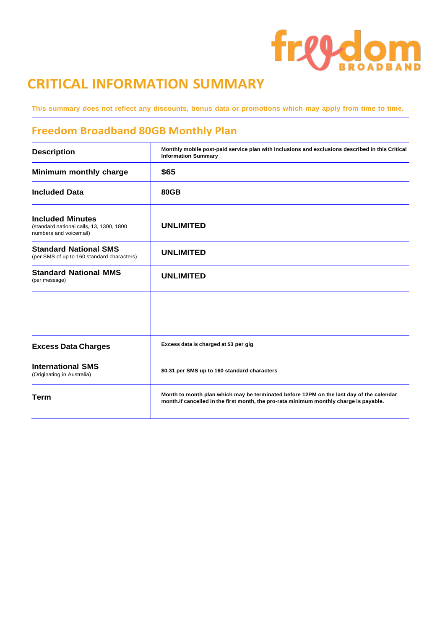# freedom

## **CRITICAL INFORMATION SUMMARY**

This summary does not reflect any discounts, bonus data or promotions which may apply from time to time.

### **Freedom Broadband 80GB Monthly Plan**

| <b>Description</b>                                                                            | Monthly mobile post-paid service plan with inclusions and exclusions described in this Critical<br><b>Information Summary</b>                                                      |
|-----------------------------------------------------------------------------------------------|------------------------------------------------------------------------------------------------------------------------------------------------------------------------------------|
| Minimum monthly charge                                                                        | \$65                                                                                                                                                                               |
| <b>Included Data</b>                                                                          | 80GB                                                                                                                                                                               |
| <b>Included Minutes</b><br>(standard national calls, 13, 1300, 1800<br>numbers and voicemail) | <b>UNLIMITED</b>                                                                                                                                                                   |
| <b>Standard National SMS</b><br>(per SMS of up to 160 standard characters)                    | <b>UNLIMITED</b>                                                                                                                                                                   |
| <b>Standard National MMS</b><br>(per message)                                                 | <b>UNLIMITED</b>                                                                                                                                                                   |
|                                                                                               |                                                                                                                                                                                    |
| <b>Excess Data Charges</b>                                                                    | Excess data is charged at \$3 per gig                                                                                                                                              |
| <b>International SMS</b><br>(Originating in Australia)                                        | \$0.31 per SMS up to 160 standard characters                                                                                                                                       |
| <b>Term</b>                                                                                   | Month to month plan which may be terminated before 12PM on the last day of the calendar<br>month. If cancelled in the first month, the pro-rata minimum monthly charge is payable. |